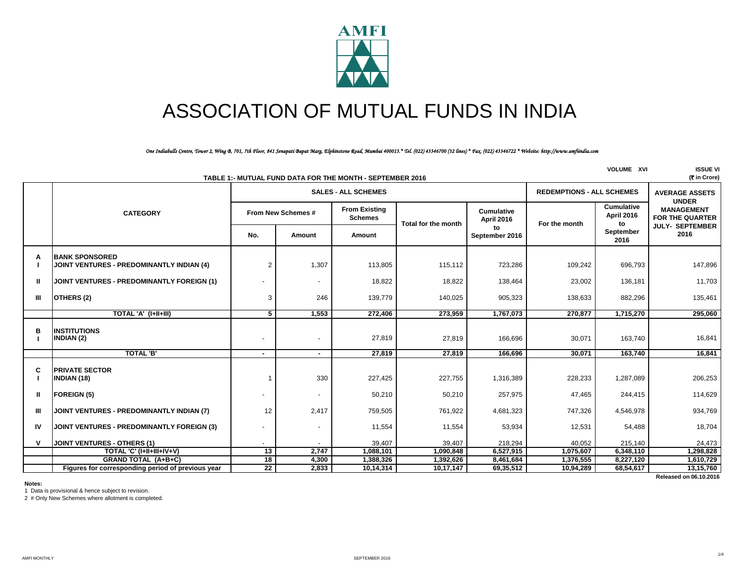

# ASSOCIATION OF MUTUAL FUNDS IN INDIA

*One Indiabulls Centre, Tower 2, Wing B, 701, 7th Floor, 841 Senapati Bapat Marg, Elphinstone Road, Mumbai 400013.\* Tel. (022) 43346700 (32 lines) \* Fax. (022) 43346722 \* Website: http://www.amfiindia.com*

|              |                                                                    |                    |                          | TABLE 1:- MUTUAL FUND DATA FOR THE MONTH - SEPTEMBER 2016 |                     |                                 |                                  | <b>VOLUME XVI</b>              | <b>ISSUE VI</b><br>(रैं in Crore)                           |
|--------------|--------------------------------------------------------------------|--------------------|--------------------------|-----------------------------------------------------------|---------------------|---------------------------------|----------------------------------|--------------------------------|-------------------------------------------------------------|
|              |                                                                    |                    |                          | <b>SALES - ALL SCHEMES</b>                                |                     |                                 | <b>REDEMPTIONS - ALL SCHEMES</b> | <b>AVERAGE ASSETS</b>          |                                                             |
|              | <b>CATEGORY</b>                                                    | From New Schemes # |                          | <b>From Existing</b><br><b>Schemes</b>                    | Total for the month | <b>Cumulative</b><br>April 2016 | For the month                    | Cumulative<br>April 2016<br>to | <b>UNDER</b><br><b>MANAGEMENT</b><br><b>FOR THE QUARTER</b> |
|              |                                                                    | No.                | Amount                   | Amount                                                    |                     | to<br>September 2016            |                                  | September<br>2016              | <b>JULY- SEPTEMBER</b><br>2016                              |
| A            | <b>BANK SPONSORED</b><br>JOINT VENTURES - PREDOMINANTLY INDIAN (4) | 2                  | 1,307                    | 113,805                                                   | 115,112             | 723,286                         | 109,242                          | 696,793                        | 147,896                                                     |
| Ш            | JOINT VENTURES - PREDOMINANTLY FOREIGN (1)                         |                    |                          | 18,822                                                    | 18,822              | 138,464                         | 23,002                           | 136,181                        | 11,703                                                      |
| Ш            | OTHERS (2)                                                         | 3                  | 246                      | 139,779                                                   | 140,025             | 905,323                         | 138,633                          | 882,296                        | 135,461                                                     |
|              | TOTAL 'A' (I+II+III)                                               | 5 <sup>1</sup>     | 1,553                    | 272,406                                                   | 273,959             | 1,767,073                       | 270,877                          | 1,715,270                      | 295,060                                                     |
| в            | <b>INSTITUTIONS</b><br><b>INDIAN (2)</b>                           |                    | $\overline{\phantom{a}}$ | 27,819                                                    | 27,819              | 166,696                         | 30,071                           | 163,740                        | 16,841                                                      |
|              | <b>TOTAL 'B'</b>                                                   |                    |                          | 27.819                                                    | 27,819              | 166.696                         | 30.071                           | 163.740                        | 16,841                                                      |
| C            | <b>PRIVATE SECTOR</b><br><b>INDIAN (18)</b>                        | 1                  | 330                      | 227,425                                                   | 227,755             | 1,316,389                       | 228,233                          | 1,287,089                      | 206,253                                                     |
| Ш            | <b>FOREIGN (5)</b>                                                 |                    |                          | 50,210                                                    | 50,210              | 257,975                         | 47,465                           | 244,415                        | 114,629                                                     |
| $\mathbf{m}$ | JOINT VENTURES - PREDOMINANTLY INDIAN (7)                          | 12                 | 2,417                    | 759,505                                                   | 761,922             | 4,681,323                       | 747,326                          | 4,546,978                      | 934,769                                                     |
| IV           | JOINT VENTURES - PREDOMINANTLY FOREIGN (3)                         |                    |                          | 11,554                                                    | 11,554              | 53,934                          | 12,531                           | 54,488                         | 18,704                                                      |
| V            | <b>JOINT VENTURES - OTHERS (1)</b>                                 |                    |                          | 39,407                                                    | 39,407              | 218,294                         | 40,052                           | 215,140                        | 24,473                                                      |
|              | TOTAL 'C' (I+II+III+IV+V)                                          | 13                 | 2,747                    | 1,088,101                                                 | 1,090,848           | 6,527,915                       | 1,075,607                        | 6,348,110                      | 1,298,828                                                   |
|              | <b>GRAND TOTAL (A+B+C)</b>                                         | 18                 | 4,300                    | 1,388,326                                                 | 1,392,626           | 8,461,684                       | 1,376,555                        | 8,227,120                      | 1,610,729                                                   |
|              | Figures for corresponding period of previous year                  | 22                 | 2,833                    | 10,14,314                                                 | 10,17,147           | 69,35,512                       | 10,94,289                        | 68,54,617                      | 13,15,760                                                   |
|              |                                                                    |                    |                          |                                                           |                     |                                 |                                  |                                | Released on 06.10.2016                                      |

**Notes:**

1 Data is provisional & hence subject to revision.

2 # Only New Schemes where allotment is completed.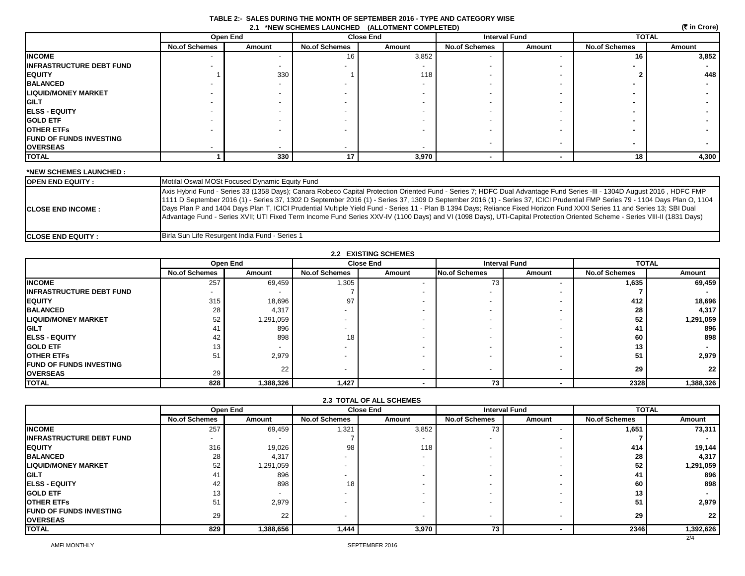| (そ in Crore)<br>2.1 *NEW SCHEMES LAUNCHED (ALLOTMENT COMPLETED) |                      |                          |                          |                  |                      |                      |                      |        |  |
|-----------------------------------------------------------------|----------------------|--------------------------|--------------------------|------------------|----------------------|----------------------|----------------------|--------|--|
|                                                                 |                      | Open End                 |                          | <b>Close End</b> |                      | <b>Interval Fund</b> | <b>TOTAL</b>         |        |  |
|                                                                 | <b>No.of Schemes</b> | Amount                   | <b>No.of Schemes</b>     | Amount           | <b>No.of Schemes</b> | Amount               | <b>No.of Schemes</b> | Amount |  |
| <b>INCOME</b>                                                   |                      |                          | 16                       | 3,852            |                      |                      | 16                   | 3,852  |  |
| <b>INFRASTRUCTURE DEBT FUND</b>                                 |                      | $\overline{\phantom{a}}$ |                          |                  |                      |                      |                      |        |  |
| <b>EQUITY</b>                                                   |                      | 330                      |                          | 118              |                      |                      |                      | 448    |  |
| <b>BALANCED</b>                                                 |                      |                          |                          |                  |                      |                      |                      |        |  |
| LIQUID/MONEY MARKET                                             |                      |                          | $\overline{\phantom{0}}$ |                  |                      |                      |                      |        |  |
| GILT                                                            |                      |                          |                          |                  |                      |                      |                      |        |  |
| <b>ELSS - EQUITY</b>                                            |                      |                          | $\,$                     |                  |                      |                      |                      |        |  |
| <b>GOLD ETF</b>                                                 |                      |                          | $\,$                     |                  |                      |                      |                      |        |  |
| OTHER ETFs                                                      |                      |                          | $\,$                     |                  |                      |                      |                      |        |  |
| <b>FUND OF FUNDS INVESTING</b>                                  |                      |                          |                          |                  |                      | $\blacksquare$       |                      |        |  |
| <b>OVERSEAS</b>                                                 |                      |                          | $\,$                     |                  |                      |                      |                      |        |  |
| TOTAL                                                           |                      | 330                      | 17                       | 3,970            |                      |                      | 18                   | 4,300  |  |

## **TABLE 2:- SALES DURING THE MONTH OF SEPTEMBER 2016 - TYPE AND CATEGORY WISE**

#### **\*NEW SCHEMES LAUNCHED :**

| <b>IOPEN END EQUITY :</b>  | Motilal Oswal MOSt Focused Dynamic Equity Fund                                                                                                                                                                                                                                                                                                                                                                                                                                                                                                                                                                                                                                                                     |
|----------------------------|--------------------------------------------------------------------------------------------------------------------------------------------------------------------------------------------------------------------------------------------------------------------------------------------------------------------------------------------------------------------------------------------------------------------------------------------------------------------------------------------------------------------------------------------------------------------------------------------------------------------------------------------------------------------------------------------------------------------|
| <b>ICLOSE END INCOME :</b> | Axis Hybrid Fund - Series 33 (1358 Days); Canara Robeco Capital Protection Oriented Fund - Series 7; HDFC Dual Advantage Fund Series -III - 1304D August 2016, HDFC FMP<br>1111 D September 2016 (1) - Series 37, 1302 D September 2016 (1) - Series 37, 1309 D September 2016 (1) - Series 37, ICICI Prudential FMP Series 79 - 1104 Days Plan O, 1104<br>Days Plan P and 1404 Days Plan T, ICICI Prudential Multiple Yield Fund - Series 11 - Plan B 1394 Days; Reliance Fixed Horizon Fund XXXI Series 11 and Series 13; SBI Dual<br>Advantage Fund - Series XVII; UTI Fixed Term Income Fund Series XXV-IV (1100 Days) and VI (1098 Days), UTI-Capital Protection Oriented Scheme - Series VIII-II (1831 Days) |
| <b>ICLOSE END EQUITY :</b> | Birla Sun Life Resurgent India Fund - Series 1                                                                                                                                                                                                                                                                                                                                                                                                                                                                                                                                                                                                                                                                     |

| <b>2.2 EXISTING SCHEMES</b>                       |                          |                          |                          |                  |                          |                      |                      |                 |  |  |
|---------------------------------------------------|--------------------------|--------------------------|--------------------------|------------------|--------------------------|----------------------|----------------------|-----------------|--|--|
|                                                   |                          | Open End                 |                          | <b>Close End</b> |                          | <b>Interval Fund</b> |                      | <b>TOTAL</b>    |  |  |
|                                                   | <b>No.of Schemes</b>     | Amount                   | <b>No.of Schemes</b>     | Amount           | No.of Schemes            | Amount               | <b>No.of Schemes</b> | Amount          |  |  |
| <b>INCOME</b>                                     | 257                      | 69,459                   | 1,305                    |                  | 73                       |                      | 1,635                | 69,459          |  |  |
| <b>IINFRASTRUCTURE DEBT FUND</b>                  | $\overline{\phantom{0}}$ | $\blacksquare$           |                          |                  |                          |                      |                      |                 |  |  |
| <b>EQUITY</b>                                     | 315                      | 18,696                   | 97                       |                  | $\overline{\phantom{0}}$ |                      | 412                  | 18,696          |  |  |
| <b>BALANCED</b>                                   | 28                       | 4,317                    |                          |                  |                          |                      | 28                   | 4,317           |  |  |
| <b>LIQUID/MONEY MARKET</b>                        | 52                       | 1,291,059                | $\overline{\phantom{a}}$ |                  | $\overline{\phantom{0}}$ |                      | 52                   | 1,291,059       |  |  |
| <b>GILT</b>                                       | 41                       | 896                      | -                        |                  |                          |                      |                      | 896             |  |  |
| <b>ELSS - EQUITY</b>                              | 42                       | 898                      | 18                       |                  | $\overline{\phantom{0}}$ |                      | 60                   | 898             |  |  |
| <b>GOLD ETF</b>                                   | 13                       | $\overline{\phantom{0}}$ | $\overline{\phantom{a}}$ |                  |                          |                      | 13                   |                 |  |  |
| <b>IOTHER ETFS</b>                                | 51                       | 2,979                    |                          |                  |                          |                      | 51                   | 2,979           |  |  |
| <b>FUND OF FUNDS INVESTING</b><br><b>OVERSEAS</b> | 29                       | 22                       | $\overline{\phantom{a}}$ |                  | $\blacksquare$           |                      | 29                   | 22 <sub>1</sub> |  |  |
| <b>TOTAL</b>                                      | 828                      | 1,388,326                | 1,427                    |                  | 73                       |                      | 2328                 | 1,388,326       |  |  |

| <b>2.3 TOTAL OF ALL SCHEMES</b> |
|---------------------------------|
|---------------------------------|

|                                                    | Open End                 |           | <b>Close End</b>     |        | <b>Interval Fund</b> |        | <b>TOTAL</b>         |           |
|----------------------------------------------------|--------------------------|-----------|----------------------|--------|----------------------|--------|----------------------|-----------|
|                                                    | <b>No.of Schemes</b>     | Amount    | <b>No.of Schemes</b> | Amount | <b>No.of Schemes</b> | Amount | <b>No.of Schemes</b> | Amount    |
| <b>INCOME</b>                                      | 257                      | 69,459    | 1,321                | 3,852  | 73                   |        | 1,651                | 73,311    |
| <b>INFRASTRUCTURE DEBT FUND</b>                    | $\overline{\phantom{a}}$ |           |                      |        |                      |        |                      |           |
| <b>EQUITY</b>                                      | 316                      | 19,026    | 98                   | 118    |                      |        | 414                  | 19,144    |
| <b>BALANCED</b>                                    | 28                       | 4,317     |                      |        |                      |        | 28                   | 4,317     |
| <b>LIQUID/MONEY MARKET</b>                         | 52                       | 291,059.  |                      |        |                      |        | 52                   | 1,291,059 |
| <b>IGILT</b>                                       | 4                        | 896       |                      |        |                      |        | 41                   | 896       |
| <b>ELSS - EQUITY</b>                               | 42                       | 898       | 18                   |        |                      |        | 60                   | 898       |
| <b>GOLD ETF</b>                                    |                          |           |                      |        |                      |        | 13                   |           |
| <b>OTHER ETFS</b>                                  | 51                       | 2,979     |                      |        |                      |        | 51                   | 2,979     |
| <b>IFUND OF FUNDS INVESTING</b><br><b>OVERSEAS</b> | 29                       | 22        |                      |        |                      |        | 29                   | 22        |
| <b>TOTAL</b>                                       | 829                      | 1,388,656 | 1,444                | 3,970  | 73                   |        | 2346                 | 1,392,626 |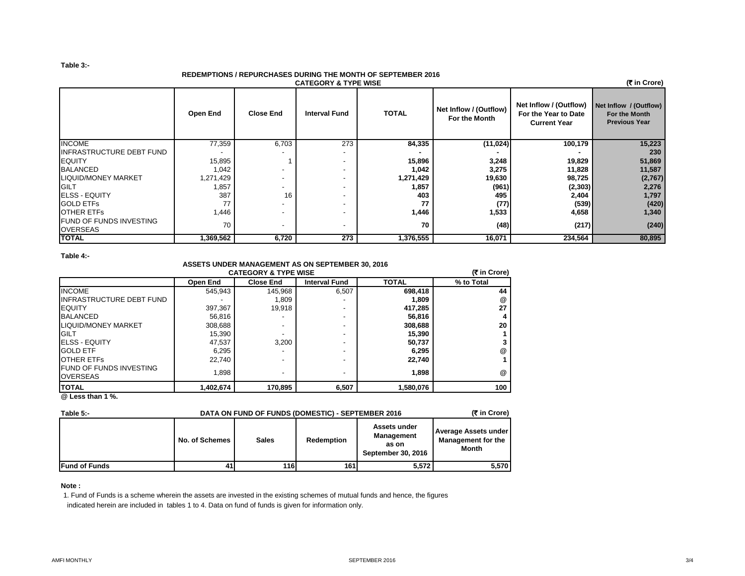#### **Table 3:-**

#### **REDEMPTIONS / REPURCHASES DURING THE MONTH OF SEPTEMBER 2016**

| <u>REDEMETIONS / REFURSIASES DURING THE MONTH OF SEFTEMBER ZUTU</u><br>(₹ in Crore)<br><b>CATEGORY &amp; TYPE WISE</b> |                 |                          |                          |              |                                         |                                                                       |                                                                 |  |  |  |
|------------------------------------------------------------------------------------------------------------------------|-----------------|--------------------------|--------------------------|--------------|-----------------------------------------|-----------------------------------------------------------------------|-----------------------------------------------------------------|--|--|--|
|                                                                                                                        | <b>Open End</b> | <b>Close End</b>         | <b>Interval Fund</b>     | <b>TOTAL</b> | Net Inflow / (Outflow)<br>For the Month | Net Inflow / (Outflow)<br>For the Year to Date<br><b>Current Year</b> | Net Inflow / (Outflow)<br>For the Month<br><b>Previous Year</b> |  |  |  |
| <b>INCOME</b>                                                                                                          | 77,359          | 6,703                    | 273                      | 84,335       | (11, 024)                               | 100,179                                                               | 15,223                                                          |  |  |  |
| <b>INFRASTRUCTURE DEBT FUND</b>                                                                                        |                 |                          | $\overline{\phantom{a}}$ |              |                                         |                                                                       | 230                                                             |  |  |  |
| <b>EQUITY</b>                                                                                                          | 15,895          |                          | $\overline{\phantom{0}}$ | 15,896       | 3,248                                   | 19,829                                                                | 51,869                                                          |  |  |  |
| <b>BALANCED</b>                                                                                                        | 1,042           |                          | $\overline{\phantom{a}}$ | 1,042        | 3,275                                   | 11,828                                                                | 11,587                                                          |  |  |  |
| <b>LIQUID/MONEY MARKET</b>                                                                                             | 1,271,429       |                          | $\overline{\phantom{a}}$ | 1,271,429    | 19,630                                  | 98,725                                                                | (2,767)                                                         |  |  |  |
| GILT                                                                                                                   | .857            |                          | $\overline{\phantom{a}}$ | 1,857        | (961)                                   | (2,303)                                                               | 2,276                                                           |  |  |  |
| <b>ELSS - EQUITY</b>                                                                                                   | 387             | 16                       | $\overline{\phantom{a}}$ | 403          | 495                                     | 2,404                                                                 | 1,797                                                           |  |  |  |
| <b>GOLD ETFS</b>                                                                                                       | 77              | $\overline{\phantom{0}}$ | $\overline{\phantom{a}}$ | 77           | (77)                                    | (539)                                                                 | (420)                                                           |  |  |  |
| <b>OTHER ETFS</b>                                                                                                      | 1,446           |                          |                          | 1,446        | 1,533                                   | 4,658                                                                 | 1,340                                                           |  |  |  |
| <b>FUND OF FUNDS INVESTING</b><br><b>OVERSEAS</b>                                                                      | 70              | $\overline{\phantom{a}}$ | $\overline{\phantom{a}}$ | 70           | (48)                                    | (217)                                                                 | (240)                                                           |  |  |  |
| <b>TOTAL</b>                                                                                                           | 1,369,562       | 6,720                    | 273                      | 1,376,555    | 16,071                                  | 234,564                                                               | 80,895                                                          |  |  |  |

**Table 4:-**

#### **ASSETS UNDER MANAGEMENT AS ON SEPTEMBER 30, 2016 CATEGORY & TYPE WISE**

| (₹ in Crore)<br><b>CATEGORY &amp; TYPE WISE</b>   |           |                  |                          |              |            |  |  |  |  |
|---------------------------------------------------|-----------|------------------|--------------------------|--------------|------------|--|--|--|--|
|                                                   | Open End  | <b>Close End</b> | <b>Interval Fund</b>     | <b>TOTAL</b> | % to Total |  |  |  |  |
| <b>INCOME</b>                                     | 545,943   | 145,968          | 6,507                    | 698,418      | 44         |  |  |  |  |
| <b>INFRASTRUCTURE DEBT FUND</b>                   |           | 1.809            |                          | 1,809        | @          |  |  |  |  |
| <b>EQUITY</b>                                     | 397,367   | 19.918           |                          | 417,285      | 27         |  |  |  |  |
| <b>BALANCED</b>                                   | 56.816    |                  | $\overline{\phantom{0}}$ | 56,816       | 4          |  |  |  |  |
| LIQUID/MONEY MARKET                               | 308,688   | -                | $\overline{\phantom{0}}$ | 308,688      | 20         |  |  |  |  |
| GILT                                              | 15,390    |                  | $\overline{\phantom{0}}$ | 15,390       |            |  |  |  |  |
| <b>IELSS - EQUITY</b>                             | 47,537    | 3.200            | $\overline{\phantom{0}}$ | 50,737       | 3          |  |  |  |  |
| <b>GOLD ETF</b>                                   | 6,295     |                  | $\overline{\phantom{0}}$ | 6,295        | @          |  |  |  |  |
| <b>OTHER ETFS</b>                                 | 22.740    | -                |                          | 22,740       |            |  |  |  |  |
| <b>FUND OF FUNDS INVESTING</b><br><b>OVERSEAS</b> | 1.898     |                  |                          | 1,898        | @          |  |  |  |  |
| <b>TOTAL</b>                                      | 1,402,674 | 170,895          | 6,507                    | 1,580,076    | 100        |  |  |  |  |

**@ Less than 1 %.**

| (₹ in Crore)<br>DATA ON FUND OF FUNDS (DOMESTIC) - SEPTEMBER 2016<br>Table 5:- |                |              |            |                                                           |                                                                   |  |
|--------------------------------------------------------------------------------|----------------|--------------|------------|-----------------------------------------------------------|-------------------------------------------------------------------|--|
|                                                                                | No. of Schemes | <b>Sales</b> | Redemption | Assets under<br>Management<br>as on<br>September 30, 2016 | Average Assets under<br><b>Management for the</b><br><b>Month</b> |  |
| <b>Fund of Funds</b>                                                           | 41             | 116          | 161        | 5.572                                                     | 5,570                                                             |  |

#### **Note :**

1. Fund of Funds is a scheme wherein the assets are invested in the existing schemes of mutual funds and hence, the figures indicated herein are included in tables 1 to 4. Data on fund of funds is given for information only.